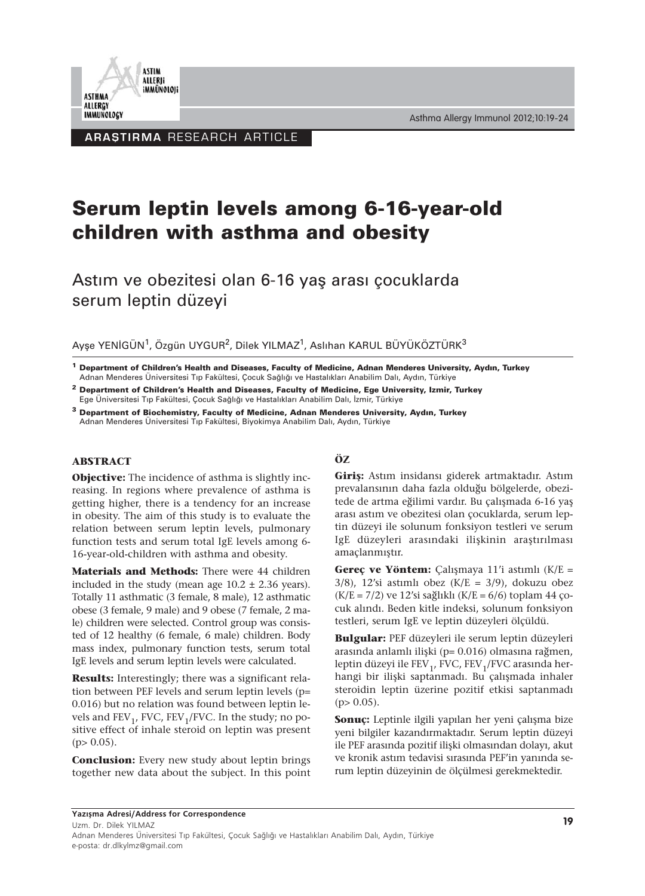

Asthma Allergy Immunol 2012;10:19-24

**ARAȘTIRMA RESEARCH ARTICLE** 

# **Serum leptin levels among 6-16-year-old children with asthma and obesity**

Astım ve obezitesi olan 6-16 yaş arası çocuklarda serum leptin düzeyi

Ayşe YENİGÜN<sup>1</sup>, Özgün UYGUR<sup>2</sup>, Dilek YILMAZ<sup>1</sup>, Aslıhan KARUL BÜYÜKÖZTÜRK<sup>3</sup>

**<sup>1</sup> Department of Children's Health and Diseases, Faculty of Medicine, Adnan Menderes University, Aydın, Turkey** Adnan Menderes Üniversitesi Tıp Fakültesi, Çocuk Sağlığı ve Hastalıkları Anabilim Dalı, Aydın, Türkiye

**<sup>2</sup> Department of Children's Health and Diseases, Faculty of Medicine, Ege University, Izmir, Turkey** Ege Üniversitesi Tıp Fakültesi, Çocuk Sağlığı ve Hastalıkları Anabilim Dalı, İzmir, Türkiye

**<sup>3</sup> Department of Biochemistry, Faculty of Medicine, Adnan Menderes University, Aydın, Turkey** Adnan Menderes Üniversitesi Tıp Fakültesi, Biyokimya Anabilim Dalı, Aydın, Türkiye

### **ABSTRACT**

**Objective:** The incidence of asthma is slightly increasing. In regions where prevalence of asthma is getting higher, there is a tendency for an increase in obesity. The aim of this study is to evaluate the relation between serum leptin levels, pulmonary function tests and serum total IgE levels among 6- 16-year-old-children with asthma and obesity.

**Materials and Methods:** There were 44 children included in the study (mean age  $10.2 \pm 2.36$  years). Totally 11 asthmatic (3 female, 8 male), 12 asthmatic obese (3 female, 9 male) and 9 obese (7 female, 2 male) children were selected. Control group was consisted of 12 healthy (6 female, 6 male) children. Body mass index, pulmonary function tests, serum total IgE levels and serum leptin levels were calculated.

**Results:** Interestingly; there was a significant relation between PEF levels and serum leptin levels (p= 0.016) but no relation was found between leptin levels and  $FEV_1$ , FVC,  $FEV_1/FVC$ . In the study; no positive effect of inhale steroid on leptin was present  $(p> 0.05)$ .

**Conclusion:** Every new study about leptin brings together new data about the subject. In this point

## **ÖZ**

**Giriş:** Astım insidansı giderek artmaktadır. Astım prevalansının daha fazla olduğu bölgelerde, obezitede de artma eğilimi vardır. Bu çalışmada 6-16 yaş arası astım ve obezitesi olan çocuklarda, serum leptin düzeyi ile solunum fonksiyon testleri ve serum IgE düzeyleri arasındaki ilişkinin araştırılması amaçlanmıştır.

**Gereç ve Yöntem:** Çalışmaya 11'i astımlı (K/E =  $3/8$ ), 12'si astımlı obez (K/E =  $3/9$ ), dokuzu obez  $(K/E = 7/2)$  ve 12'si sağlıklı  $(K/E = 6/6)$  toplam 44 çocuk alındı. Beden kitle indeksi, solunum fonksiyon testleri, serum IgE ve leptin düzeyleri ölçüldü.

**Bulgular:** PEF düzeyleri ile serum leptin düzeyleri arasında anlamlı ilişki (p= 0.016) olmasına rağmen, leptin düzeyi ile FEV<sub>1</sub>, FVC, FEV<sub>1</sub>/FVC arasında herhangi bir ilişki saptanmadı. Bu çalışmada inhaler steroidin leptin üzerine pozitif etkisi saptanmadı  $(p> 0.05)$ .

**Sonuç:** Leptinle ilgili yapılan her yeni çalışma bize yeni bilgiler kazandırmaktadır. Serum leptin düzeyi ile PEF arasında pozitif ilişki olmasından dolayı, akut ve kronik astım tedavisi sırasında PEF'in yanında serum leptin düzeyinin de ölçülmesi gerekmektedir.

**19 19** *Mazisma Adresi/Address for Correspondence* 

Uzm. Dr. Dilek YILMAZ Adnan Menderes Üniversitesi Tıp Fakültesi, Çocuk Sağlığı ve Hastalıkları Anabilim Dalı, Aydın, Türkiye e-posta: dr.dlkylmz@gmail.com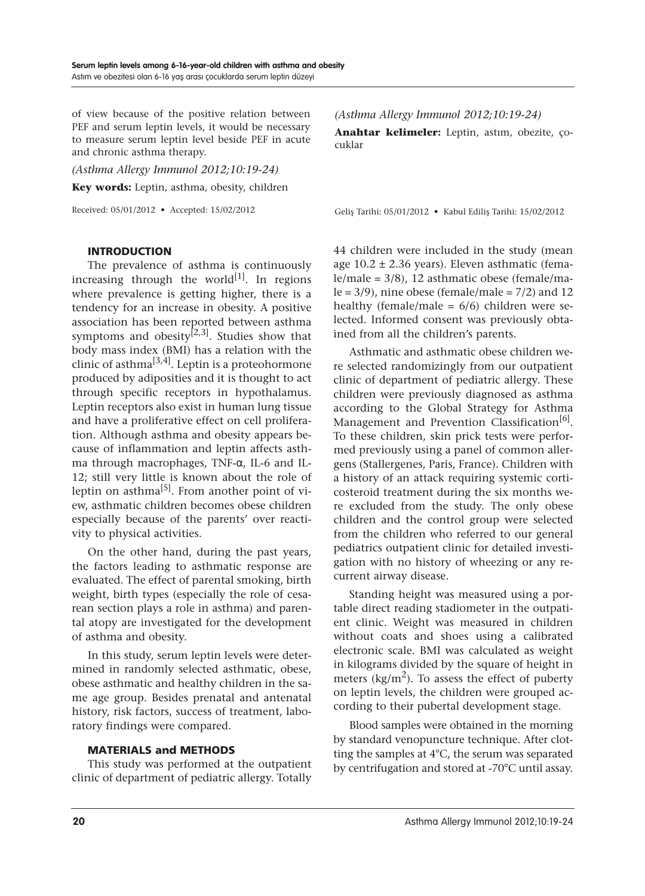of view because of the positive relation between PEF and serum leptin levels, it would be necessary to measure serum leptin level beside PEF in acute and chronic asthma therapy.

*(Asthma Allergy Immunol 2012;10:19-24)* **Key words:** Leptin, asthma, obesity, children

Received: 05/01/2012 • Accepted: 15/02/2012

## INTRODUCTION

The prevalence of asthma is continuously increasing through the world<sup>[1]</sup>. In regions where prevalence is getting higher, there is a tendency for an increase in obesity. A positive association has been reported between asthma symptoms and obesity<sup>[2,3]</sup>. Studies show that body mass index (BMI) has a relation with the clinic of asthma<sup>[3,4]</sup>. Leptin is a proteohormone produced by adiposities and it is thought to act through specific receptors in hypothalamus. Leptin receptors also exist in human lung tissue and have a proliferative effect on cell proliferation. Although asthma and obesity appears because of inflammation and leptin affects asthma through macrophages, TNF-α, IL-6 and IL-12; still very little is known about the role of leptin on asthma<sup>[5]</sup>. From another point of view, asthmatic children becomes obese children especially because of the parents' over reactivity to physical activities.

On the other hand, during the past years, the factors leading to asthmatic response are evaluated. The effect of parental smoking, birth weight, birth types (especially the role of cesarean section plays a role in asthma) and parental atopy are investigated for the development of asthma and obesity.

In this study, serum leptin levels were determined in randomly selected asthmatic, obese, obese asthmatic and healthy children in the same age group. Besides prenatal and antenatal history, risk factors, success of treatment, laboratory findings were compared.

### MATERIALS and METHODS

This study was performed at the outpatient clinic of department of pediatric allergy. Totally *(Asthma Allergy Immunol 2012;10:19-24)*

**Anahtar kelimeler:** Leptin, astım, obezite, çocuklar

Geliş Tarihi: 05/01/2012 • Kabul Ediliş Tarihi: 15/02/2012

44 children were included in the study (mean age  $10.2 \pm 2.36$  years). Eleven asthmatic (female/male = 3/8), 12 asthmatic obese (female/ma $le = 3/9$ , nine obese (female/male =  $7/2$ ) and 12 healthy (female/male =  $6/6$ ) children were selected. Informed consent was previously obtained from all the children's parents.

Asthmatic and asthmatic obese children were selected randomizingly from our outpatient clinic of department of pediatric allergy. These children were previously diagnosed as asthma according to the Global Strategy for Asthma Management and Prevention Classification<sup>[6]</sup>. To these children, skin prick tests were performed previously using a panel of common allergens (Stallergenes, Paris, France). Children with a history of an attack requiring systemic corticosteroid treatment during the six months were excluded from the study. The only obese children and the control group were selected from the children who referred to our general pediatrics outpatient clinic for detailed investigation with no history of wheezing or any recurrent airway disease.

Standing height was measured using a portable direct reading stadiometer in the outpatient clinic. Weight was measured in children without coats and shoes using a calibrated electronic scale. BMI was calculated as weight in kilograms divided by the square of height in meters  $\frac{\text{kg}}{m^2}$ . To assess the effect of puberty on leptin levels, the children were grouped according to their pubertal development stage.

Blood samples were obtained in the morning by standard venopuncture technique. After clotting the samples at 4°C, the serum was separated by centrifugation and stored at -70°C until assay.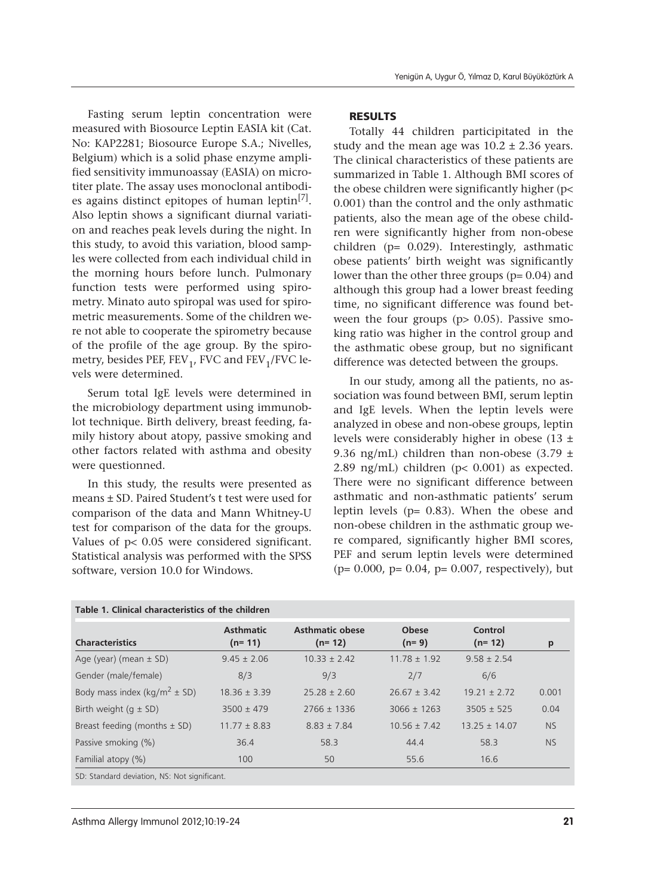Fasting serum leptin concentration were measured with Biosource Leptin EASIA kit (Cat. No: KAP2281; Biosource Europe S.A.; Nivelles, Belgium) which is a solid phase enzyme amplified sensitivity immunoassay (EASIA) on microtiter plate. The assay uses monoclonal antibodies agains distinct epitopes of human leptin $[7]$ . Also leptin shows a significant diurnal variation and reaches peak levels during the night. In this study, to avoid this variation, blood samples were collected from each individual child in the morning hours before lunch. Pulmonary function tests were performed using spirometry. Minato auto spiropal was used for spirometric measurements. Some of the children were not able to cooperate the spirometry because of the profile of the age group. By the spirometry, besides PEF,  $FEV_1$ , FVC and  $FEV_1/FVC$  levels were determined.

Serum total IgE levels were determined in the microbiology department using immunoblot technique. Birth delivery, breast feeding, family history about atopy, passive smoking and other factors related with asthma and obesity were questionned.

In this study, the results were presented as means ± SD. Paired Student's t test were used for comparison of the data and Mann Whitney-U test for comparison of the data for the groups. Values of p< 0.05 were considered significant. Statistical analysis was performed with the SPSS software, version 10.0 for Windows.

#### RESULTS

Totally 44 children participitated in the study and the mean age was  $10.2 \pm 2.36$  years. The clinical characteristics of these patients are summarized in Table 1. Although BMI scores of the obese children were significantly higher (p< 0.001) than the control and the only asthmatic patients, also the mean age of the obese children were significantly higher from non-obese children (p= 0.029). Interestingly, asthmatic obese patients' birth weight was significantly lower than the other three groups  $(p= 0.04)$  and although this group had a lower breast feeding time, no significant difference was found between the four groups  $(p> 0.05)$ . Passive smoking ratio was higher in the control group and the asthmatic obese group, but no significant difference was detected between the groups.

In our study, among all the patients, no association was found between BMI, serum leptin and IgE levels. When the leptin levels were analyzed in obese and non-obese groups, leptin levels were considerably higher in obese (13 ± 9.36 ng/mL) children than non-obese  $(3.79 \pm$ 2.89 ng/mL) children (p< 0.001) as expected. There were no significant difference between asthmatic and non-asthmatic patients' serum leptin levels (p= 0.83). When the obese and non-obese children in the asthmatic group were compared, significantly higher BMI scores, PEF and serum leptin levels were determined (p= 0.000, p= 0.04, p= 0.007, respectively), but

| Table 1. Clinical characteristics of the children |                              |                                    |                         |                     |           |  |  |  |  |
|---------------------------------------------------|------------------------------|------------------------------------|-------------------------|---------------------|-----------|--|--|--|--|
| <b>Characteristics</b>                            | <b>Asthmatic</b><br>$(n=11)$ | <b>Asthmatic obese</b><br>$(n=12)$ | <b>Obese</b><br>$(n=9)$ | Control<br>$(n=12)$ | p         |  |  |  |  |
| Age (year) (mean $\pm$ SD)                        | $9.45 \pm 2.06$              | $10.33 \pm 2.42$                   | $11.78 \pm 1.92$        | $9.58 \pm 2.54$     |           |  |  |  |  |
| Gender (male/female)                              | 8/3                          | 9/3                                | 2/7                     | 6/6                 |           |  |  |  |  |
| Body mass index (kg/m <sup>2</sup> $\pm$ SD)      | $18.36 \pm 3.39$             | $25.28 \pm 2.60$                   | $26.67 \pm 3.42$        | $19.21 \pm 2.72$    | 0.001     |  |  |  |  |
| Birth weight $(q \pm SD)$                         | $3500 \pm 479$               | $2766 \pm 1336$                    | $3066 \pm 1263$         | $3505 \pm 525$      | 0.04      |  |  |  |  |
| Breast feeding (months $\pm$ SD)                  | $11.77 \pm 8.83$             | $8.83 \pm 7.84$                    | $10.56 \pm 7.42$        | $13.25 \pm 14.07$   | <b>NS</b> |  |  |  |  |
| Passive smoking (%)                               | 36.4                         | 58.3                               | 44.4                    | 58.3                | <b>NS</b> |  |  |  |  |
| Familial atopy (%)                                | 100                          | 50                                 | 55.6                    | 16.6                |           |  |  |  |  |
| SD: Standard deviation, NS: Not significant.      |                              |                                    |                         |                     |           |  |  |  |  |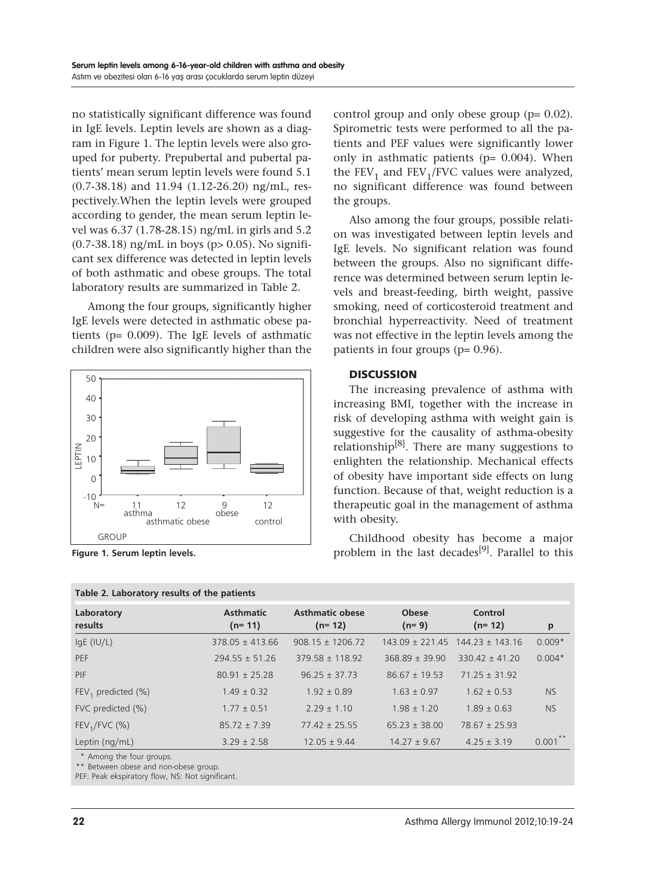no statistically significant difference was found in IgE levels. Leptin levels are shown as a diagram in Figure 1. The leptin levels were also grouped for puberty. Prepubertal and pubertal patients' mean serum leptin levels were found 5.1 (0.7-38.18) and 11.94 (1.12-26.20) ng/mL, respectively.When the leptin levels were grouped according to gender, the mean serum leptin level was 6.37 (1.78-28.15) ng/mL in girls and 5.2  $(0.7-38.18)$  ng/mL in boys (p $> 0.05$ ). No significant sex difference was detected in leptin levels of both asthmatic and obese groups. The total laboratory results are summarized in Table 2.

Among the four groups, significantly higher IgE levels were detected in asthmatic obese patients (p= 0.009). The IgE levels of asthmatic children were also significantly higher than the



**Figure 1. Serum leptin levels.**

**Table 2. Laboratory results of the patients**

control group and only obese group (p= 0.02). Spirometric tests were performed to all the patients and PEF values were significantly lower only in asthmatic patients ( $p= 0.004$ ). When the  $FEV_1$  and  $FEV_1/FVC$  values were analyzed, no significant difference was found between the groups.

Also among the four groups, possible relation was investigated between leptin levels and IgE levels. No significant relation was found between the groups. Also no significant difference was determined between serum leptin levels and breast-feeding, birth weight, passive smoking, need of corticosteroid treatment and bronchial hyperreactivity. Need of treatment was not effective in the leptin levels among the patients in four groups ( $p= 0.96$ ).

## **DISCUSSION**

The increasing prevalence of asthma with increasing BMI, together with the increase in risk of developing asthma with weight gain is suggestive for the causality of asthma-obesity relationship<sup>[8]</sup>. There are many suggestions to enlighten the relationship. Mechanical effects of obesity have important side effects on lung function. Because of that, weight reduction is a therapeutic goal in the management of asthma with obesity.

Childhood obesity has become a major problem in the last decades<sup>[9]</sup>. Parallel to this

| rapic Er Eaboratory resents or the patients |                              |                                    |                         |                     |           |  |  |  |
|---------------------------------------------|------------------------------|------------------------------------|-------------------------|---------------------|-----------|--|--|--|
| Laboratory<br>results                       | <b>Asthmatic</b><br>$(n=11)$ | <b>Asthmatic obese</b><br>$(n=12)$ | <b>Obese</b><br>$(n=9)$ | Control<br>$(n=12)$ | p         |  |  |  |
| $lgE$ (IU/L)                                | $378.05 \pm 413.66$          | $908.15 \pm 1206.72$               | $143.09 \pm 221.45$     | $144.23 \pm 143.16$ | $0.009*$  |  |  |  |
| <b>PEF</b>                                  | $294.55 \pm 51.26$           | $379.58 \pm 118.92$                | $368.89 \pm 39.90$      | $330.42 \pm 41.20$  | $0.004*$  |  |  |  |
| PIF                                         | $80.91 \pm 25.28$            | $96.25 \pm 37.73$                  | $86.67 \pm 19.53$       | $71.25 \pm 31.92$   |           |  |  |  |
| FEV <sub>1</sub> predicted (%)              | $1.49 \pm 0.32$              | $1.92 \pm 0.89$                    | $1.63 \pm 0.97$         | $1.62 \pm 0.53$     | <b>NS</b> |  |  |  |
| FVC predicted (%)                           | $1.77 \pm 0.51$              | $2.29 \pm 1.10$                    | $1.98 \pm 1.20$         | $1.89 \pm 0.63$     | <b>NS</b> |  |  |  |
| $FEV_1/FVC$ (%)                             | $85.72 \pm 7.39$             | $77.42 \pm 25.55$                  | $65.23 \pm 38.00$       | $78.67 \pm 25.93$   |           |  |  |  |
| Leptin (ng/mL)                              | $3.29 \pm 2.58$              | $12.05 \pm 9.44$                   | $14.27 \pm 9.67$        | $4.25 \pm 3.19$     | 0.001     |  |  |  |
| * Among the four groups                     |                              |                                    |                         |                     |           |  |  |  |

\* Among the four groups.

\*\* Between obese and non-obese group.

PEF: Peak ekspiratory flow, NS: Not significant.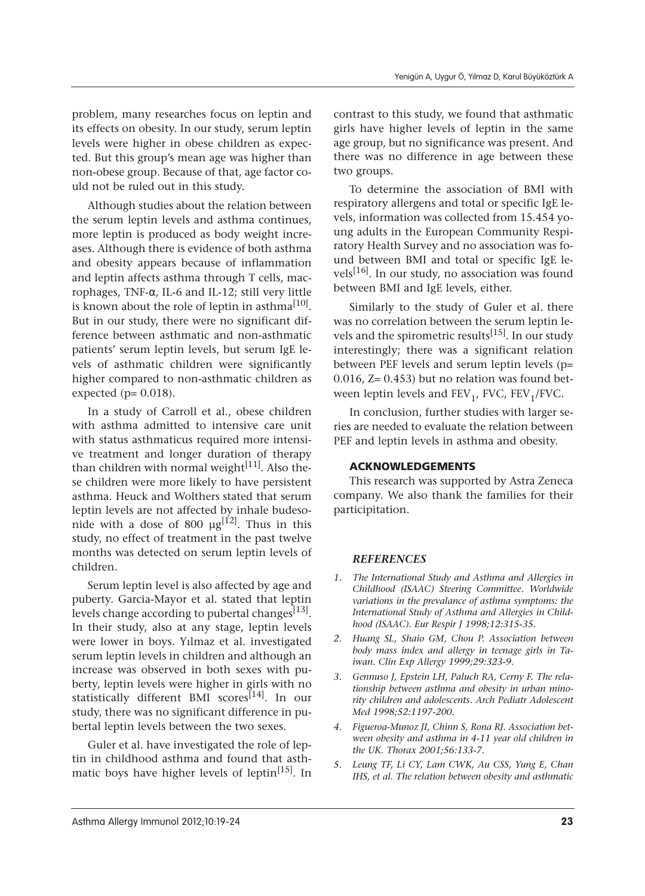problem, many researches focus on leptin and its effects on obesity. In our study, serum leptin levels were higher in obese children as expected. But this group's mean age was higher than non-obese group. Because of that, age factor could not be ruled out in this study.

Although studies about the relation between the serum leptin levels and asthma continues, more leptin is produced as body weight increases. Although there is evidence of both asthma and obesity appears because of inflammation and leptin affects asthma through T cells, macrophages, TNF-α, IL-6 and IL-12; still very little is known about the role of leptin in asthma $^{[10]}$ . But in our study, there were no significant difference between asthmatic and non-asthmatic patients' serum leptin levels, but serum IgE levels of asthmatic children were significantly higher compared to non-asthmatic children as expected ( $p= 0.018$ ).

In a study of Carroll et al., obese children with asthma admitted to intensive care unit with status asthmaticus required more intensive treatment and longer duration of therapy than children with normal weight $[11]$ . Also these children were more likely to have persistent asthma. Heuck and Wolthers stated that serum leptin levels are not affected by inhale budesonide with a dose of 800  $\mu$ g<sup>[12]</sup>. Thus in this study, no effect of treatment in the past twelve months was detected on serum leptin levels of children.

Serum leptin level is also affected by age and puberty. Garcia-Mayor et al. stated that leptin levels change according to pubertal changes<sup>[13]</sup>. In their study, also at any stage, leptin levels were lower in boys. Yılmaz et al. investigated serum leptin levels in children and although an increase was observed in both sexes with puberty, leptin levels were higher in girls with no statistically different BMI scores<sup>[14]</sup>. In our study, there was no significant difference in pubertal leptin levels between the two sexes.

Guler et al. have investigated the role of leptin in childhood asthma and found that asthmatic boys have higher levels of leptin $[15]$ . In

contrast to this study, we found that asthmatic girls have higher levels of leptin in the same age group, but no significance was present. And there was no difference in age between these two groups.

To determine the association of BMI with respiratory allergens and total or specific IgE levels, information was collected from 15.454 young adults in the European Community Respiratory Health Survey and no association was found between BMI and total or specific IgE levels<sup>[16]</sup>. In our study, no association was found between BMI and IgE levels, either.

Similarly to the study of Guler et al. there was no correlation between the serum leptin levels and the spirometric results<sup>[15]</sup>. In our study interestingly; there was a significant relation between PEF levels and serum leptin levels (p= 0.016, Z= 0.453) but no relation was found between leptin levels and  $FEV_1$ , FVC,  $FEV_1/FVC$ .

In conclusion, further studies with larger series are needed to evaluate the relation between PEF and leptin levels in asthma and obesity.

#### ACKNOWLEDGEMENTS

This research was supported by Astra Zeneca company. We also thank the families for their participitation.

#### *REFERENCES*

- *1. The International Study and Asthma and Allergies in Childhood (ISAAC) Steering Committee. Worldwide variations in the prevalance of asthma symptoms: the International Study of Asthma and Allergies in Childhood (ISAAC). Eur Respir J 1998;12:315-35.*
- *2. Huang SL, Shaio GM, Chou P. Association between body mass index and allergy in teenage girls in Taiwan. Clin Exp Allergy 1999;29:323-9.*
- *3. Gennuso J, Epstein LH, Paluch RA, Cerny F. The relationship between asthma and obesity in urban minority children and adolescents. Arch Pediatr Adolescent Med 1998;52:1197-200.*
- *4. Figueroa-Munoz JI, Chinn S, Rona RJ. Association between obesity and asthma in 4-11 year old children in the UK. Thorax 2001;56:133-7.*
- *5. Leung TF, Li CY, Lam CWK, Au CSS, Yung E, Chan IHS, et al. The relation between obesity and asthmatic*